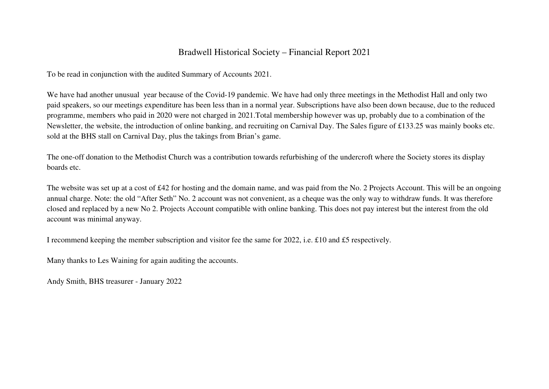## Bradwell Historical Society – Financial Report 2021

To be read in conjunction with the audited Summary of Accounts 2021.

We have had another unusual year because of the Covid-19 pandemic. We have had only three meetings in the Methodist Hall and only two paid speakers, so our meetings expenditure has been less than in a normal year. Subscriptions have also been down because, due to the reduced programme, members who paid in 2020 were not charged in 2021.Total membership however was up, probably due to a combination of the Newsletter, the website, the introduction of online banking, and recruiting on Carnival Day. The Sales figure of £133.25 was mainly books etc. sold at the BHS stall on Carnival Day, plus the takings from Brian's game.

The one-off donation to the Methodist Church was a contribution towards refurbishing of the undercroft where the Society stores its display boards etc.

The website was set up at a cost of £42 for hosting and the domain name, and was paid from the No. 2 Projects Account. This will be an ongoing annual charge. Note: the old "After Seth" No. 2 account was not convenient, as a cheque was the only way to withdraw funds. It was therefore closed and replaced by a new No 2. Projects Account compatible with online banking. This does not pay interest but the interest from the old account was minimal anyway.

I recommend keeping the member subscription and visitor fee the same for 2022, i.e. £10 and £5 respectively.

Many thanks to Les Waining for again auditing the accounts.

Andy Smith, BHS treasurer - January 2022